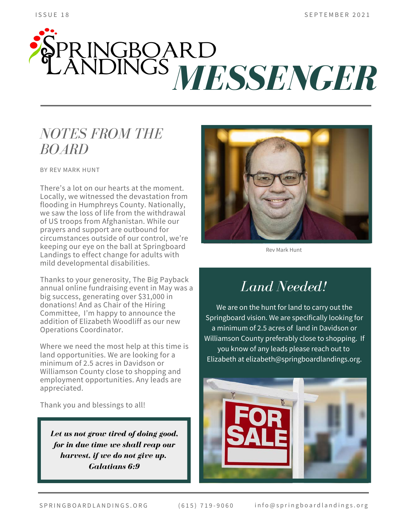# **SPRINGBOARD**<br>CANDINGS *MESSENGER*

### *NOTES FROM THE BOARD*

BY REV MARK HUNT

There's a lot on our hearts at the moment. Locally, we witnessed the devastation from flooding in Humphreys County. Nationally, we saw the loss of life from the withdrawal of US troops from Afghanistan. While our prayers and support are outbound for circumstances outside of our control, we're keeping our eye on the ball at Springboard Landings to effect change for adults with mild developmental disabilities.

Thanks to your generosity, The Big Payback annual online fundraising event in May was a big success, generating over \$31,000 in donations! And as Chair of the Hiring Committee, I'm happy to announce the addition of Elizabeth Woodliff as our new Operations Coordinator.

Where we need the most help at this time is land opportunities. We are looking for a minimum of 2.5 acres in Davidson or Williamson County close to shopping and employment opportunities. Any leads are appreciated.

Thank you and blessings to all!

*Let us not grow tired of doing good, for in due time we shall reap our harvest, if we do not give up. Galatians 6:9*



Rev Mark Hunt

## *Land Needed!*

We are on the hunt for land to carry out the Springboard vision. We are specifically looking for a minimum of 2.5 acres of land in Davidson or Williamson County preferably close to shopping. If you know of any leads please reach out to Elizabeth at elizabeth@springboardlandings.org.

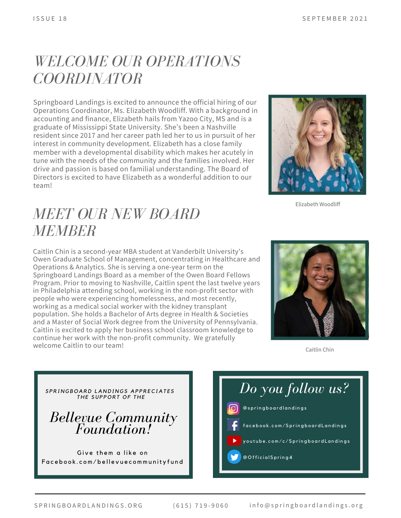### *WELCOME OUR OPERATIONS COORDINATOR*

Springboard Landings is excited to announce the official hiring of our Operations Coordinator, Ms. Elizabeth Woodliff. With a background in accounting and finance, Elizabeth hails from Yazoo City, MS and is a graduate of Mississippi State University. She's been a Nashville resident since 2017 and her career path led her to us in pursuit of her interest in community development. Elizabeth has a close family member with a developmental disability which makes her acutely in tune with the needs of the community and the families involved. Her drive and passion is based on familial understanding. The Board of Directors is excited to have Elizabeth as a wonderful addition to our team!



Elizabeth Woodliff

### *MEET OUR NEW BOARD MEMBER*

Caitlin Chin is a second-year MBA student at Vanderbilt University's Owen Graduate School of Management, concentrating in Healthcare and Operations & Analytics. She is serving a one-year term on the Springboard Landings Board as a member of the Owen Board Fellows Program. Prior to moving to Nashville, Caitlin spent the last twelve years in Philadelphia attending school, working in the non-profit sector with people who were experiencing homelessness, and most recently, working as a medical social worker with the kidney transplant population. She holds a Bachelor of Arts degree in Health & Societies and a Master of Social Work degree from the University of Pennsylvania. Caitlin is excited to apply her business school classroom knowledge to continue her work with the non-profit community. We gratefully welcome Caitlin to our team!



Caitlin Chin

*Bellevue Community Foundation!* SPRINGBOARD LANDINGS APPRECIATES *THE SUPPORT OF THE* Give them a like on Facebook.com/bellevuecommunityfund

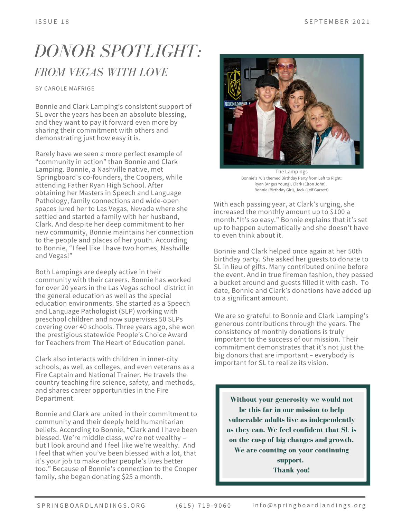# *DONOR SPOTLIGHT: FROM VEGAS WITH LOVE*

BY CAROLE MAFRIGE

Bonnie and Clark Lamping's consistent support of SL over the years has been an absolute blessing, and they want to pay it forward even more by sharing their commitment with others and demonstrating just how easy it is.

Rarely have we seen a more perfect example of "community in action" than Bonnie and Clark Lamping. Bonnie, a Nashville native, met Springboard's co-founders, the Coopers, while attending Father Ryan High School. After obtaining her Masters in Speech and Language Pathology, family connections and wide-open spaces lured her to Las Vegas, Nevada where she settled and started a family with her husband, Clark. And despite her deep commitment to her new community, Bonnie maintains her connection to the people and places of her youth. According to Bonnie, "I feel like I have two homes, Nashville and Vegas!"

Both Lampings are deeply active in their community with their careers. Bonnie has worked for over 20 years in the Las Vegas school district in the general education as well as the special education environments. She started as a Speech and Language Pathologist (SLP) working with preschool children and now supervises 50 SLPs covering over 40 schools. Three years ago, she won the prestigious statewide People's Choice Award for Teachers from The Heart of Education panel.

Clark also interacts with children in inner-city schools, as well as colleges, and even veterans as a Fire Captain and National Trainer. He travels the country teaching fire science, safety, and methods, and shares career opportunities in the Fire Department.

Bonnie and Clark are united in their commitment to community and their deeply held humanitarian beliefs. According to Bonnie, "Clark and I have been blessed. We're middle class, we're not wealthy – but I look around and I feel like we're wealthy. And I feel that when you've been blessed with a lot, that it's your job to make other people's lives better too." Because of Bonnie's connection to the Cooper family, she began donating \$25 a month.



The Lampings Bonnie's 70's themed Birthday Party from Left to Right: Ryan (Angus Young), Clark (Elton John), Bonnie (Birthday Girl), Jack (Leif Garrett)

With each passing year, at Clark's urging, she increased the monthly amount up to \$100 a month."It's so easy." Bonnie explains that it's set up to happen automatically and she doesn't have to even think about it.

Bonnie and Clark helped once again at her 50th birthday party. She asked her guests to donate to SL in lieu of gifts. Many contributed online before the event. And in true fireman fashion, they passed a bucket around and guests filled it with cash. To date, Bonnie and Clark's donations have added up to a significant amount.

We are so grateful to Bonnie and Clark Lamping's generous contributions through the years. The consistency of monthly donations is truly important to the success of our mission. Their commitment demonstrates that it's not just the big donors that are important – everybody is important for SL to realize its vision.

**Without your generosity we would not be this far in our mission to help vulnerable adults live as independently as they can. We feel confident that SL is on the cusp of big changes and growth. We are counting on your continuing support. Thank you!**